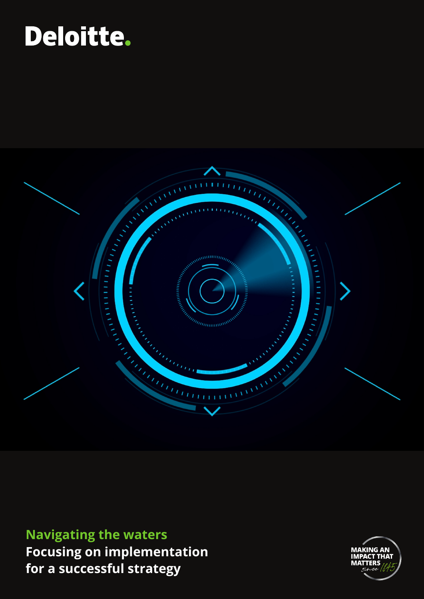# Deloitte.



### **Navigating the waters Focusing on implementation for a successful strategy**

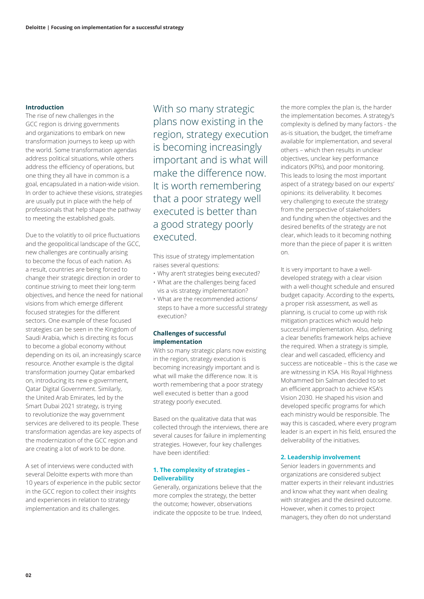#### **Introduction**

The rise of new challenges in the GCC region is driving governments and organizations to embark on new transformation journeys to keep up with the world. Some transformation agendas address political situations, while others address the efficiency of operations, but one thing they all have in common is a goal, encapsulated in a nation-wide vision. In order to achieve these visions, strategies are usually put in place with the help of professionals that help shape the pathway to meeting the established goals.

Due to the volatitly to oil price fluctuations and the geopolitical landscape of the GCC, new challenges are continually arising to become the focus of each nation. As a result, countries are being forced to change their strategic direction in order to continue striving to meet their long-term objectives, and hence the need for national visions from which emerge different focused strategies for the different sectors. One example of these focused strategies can be seen in the Kingdom of Saudi Arabia, which is directing its focus to become a global economy without depending on its oil, an increasingly scarce resource. Another example is the digital transformation journey Qatar embarked on, introducing its new e-government, Qatar Digital Government. Similarly, the United Arab Emirates, led by the Smart Dubai 2021 strategy, is trying to revolutionize the way government services are delivered to its people. These transformation agendas are key aspects of the modernization of the GCC region and are creating a lot of work to be done.

A set of interviews were conducted with several Deloitte experts with more than 10 years of experience in the public sector in the GCC region to collect their insights and experiences in relation to strategy implementation and its challenges.

With so many strategic plans now existing in the region, strategy execution is becoming increasingly important and is what will make the difference now. It is worth remembering that a poor strategy well executed is better than a good strategy poorly executed.

This issue of strategy implementation raises several questions:

- Why aren't strategies being executed?
- What are the challenges being faced
- vis a vis strategy implementation? • What are the recommended actions/
- steps to have a more successful strategy execution?

#### **Challenges of successful implementation**

With so many strategic plans now existing in the region, strategy execution is becoming increasingly important and is what will make the difference now. It is worth remembering that a poor strategy well executed is better than a good strategy poorly executed.

Based on the qualitative data that was collected through the interviews, there are several causes for failure in implementing strategies. However, four key challenges have been identified:

#### **1. The complexity of strategies – Deliverability**

Generally, organizations believe that the more complex the strategy, the better the outcome; however, observations indicate the opposite to be true. Indeed,

the more complex the plan is, the harder the implementation becomes. A strategy's complexity is defined by many factors - the as-is situation, the budget, the timeframe available for implementation, and several others – which then results in unclear objectives, unclear key performance indicators (KPIs), and poor monitoring. This leads to losing the most important aspect of a strategy based on our experts' opinions: its deliverability. It becomes very challenging to execute the strategy from the perspective of stakeholders and funding when the objectives and the desired benefits of the strategy are not clear, which leads to it becoming nothing more than the piece of paper it is written on.

It is very important to have a welldeveloped strategy with a clear vision with a well-thought schedule and ensured budget capacity. According to the experts, a proper risk assessment, as well as planning, is crucial to come up with risk mitigation practices which would help successful implementation. Also, defining a clear benefits framework helps achieve the required. When a strategy is simple, clear and well cascaded, efficiency and success are noticeable – this is the case we are witnessing in KSA. His Royal Highness Mohammed bin Salman decided to set an efficient approach to achieve KSA's Vision 2030. He shaped his vision and developed specific programs for which each ministry would be responsible. The way this is cascaded, where every program leader is an expert in his field, ensured the deliverability of the initiatives.

#### **2. Leadership involvement**

Senior leaders in governments and organizations are considered subject matter experts in their relevant industries and know what they want when dealing with strategies and the desired outcome. However, when it comes to project managers, they often do not understand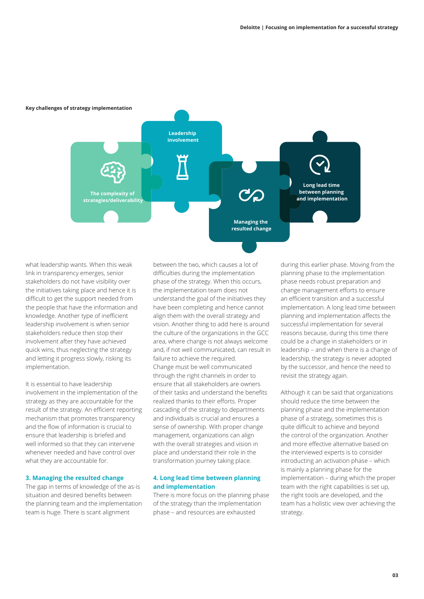

**Key challenges of strategy implementation**

what leadership wants. When this weak link in transparency emerges, senior stakeholders do not have visibility over the initiatives taking place and hence it is difficult to get the support needed from the people that have the information and knowledge. Another type of inefficient leadership involvement is when senior stakeholders reduce then stop their involvement after they have achieved quick wins, thus neglecting the strategy and letting it progress slowly, risking its implementation.

It is essential to have leadership involvement in the implementation of the strategy as they are accountable for the result of the strategy. An efficient reporting mechanism that promotes transparency and the flow of information is crucial to ensure that leadership is briefed and well informed so that they can intervene whenever needed and have control over what they are accountable for.

#### **3. Managing the resulted change**

The gap in terms of knowledge of the as-is situation and desired benefits between the planning team and the implementation team is huge. There is scant alignment

between the two, which causes a lot of difficulties during the implementation phase of the strategy. When this occurs, the implementation team does not understand the goal of the initiatives they have been completing and hence cannot align them with the overall strategy and vision. Another thing to add here is around the culture of the organizations in the GCC area, where change is not always welcome and, if not well communicated, can result in failure to achieve the required. Change must be well communicated through the right channels in order to ensure that all stakeholders are owners of their tasks and understand the benefits realized thanks to their efforts. Proper cascading of the strategy to departments and individuals is crucial and ensures a sense of ownership. With proper change management, organizations can align with the overall strategies and vision in place and understand their role in the transformation journey taking place.

#### **4. Long lead time between planning and implementation**

There is more focus on the planning phase of the strategy than the implementation phase – and resources are exhausted

during this earlier phase. Moving from the planning phase to the implementation phase needs robust preparation and change management efforts to ensure an efficient transition and a successful implementation. A long lead time between planning and implementation affects the successful implementation for several reasons because, during this time there could be a change in stakeholders or in leadership – and when there is a change of leadership, the strategy is never adopted by the successor, and hence the need to revisit the strategy again.

Although it can be said that organizations should reduce the time between the planning phase and the implementation phase of a strategy, sometimes this is quite difficult to achieve and beyond the control of the organization. Another and more effective alternative based on the interviewed experts is to consider introducting an activation phase – which is mainly a planning phase for the implementation – during which the proper team with the right capabilities is set up, the right tools are developed, and the team has a holistic view over achieving the strategy.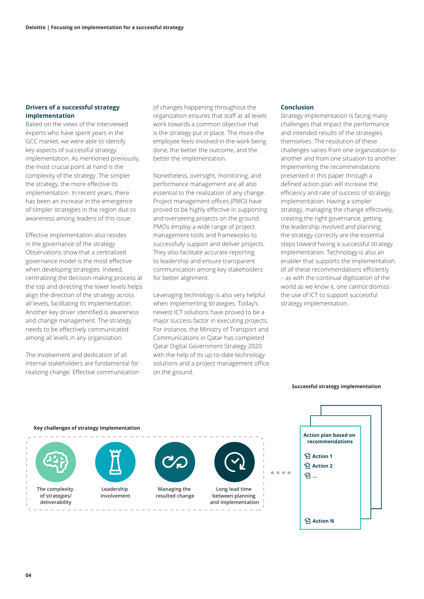#### **Drivers of a successful strategy implementation**

Based on the views of the interviewed experts who have spent years in the GCC market, we were able to identify key aspects of successful strategy implementation. As mentioned previously, the most crucial point at hand is the complexity of the strategy. The simpler the strategy, the more effective its implementation. In recent years, there has been an increase in the emergence of simpler strategies in the region due to awareness among leaders of this issue.

Effective implementation also resides in the governance of the strategy. Observations show that a centralized governance model is the most effective when developing strategies. Indeed, centralizing the decision-making process at the top and directing the lower levels helps align the direction of the strategy across all levels, facilitating its implementation. Another key driver identified is awareness and change management. The strategy needs to be effectively communicated among all levels in any organization.

The involvement and dedication of all internal stakeholders are fundamental for realizing change. Effective communication of changes happening throughout the organization ensures that staff at all levels work towards a common objective that is the strategy put in place. The more the employee feels involved in the work being done, the better the outcome, and the better the implementation.

Nonetheless, oversight, monitoring, and performance management are all also essential to the realization of any change. Project management offices (PMO) have proved to be highly effective in supporting and overseeing projects on the ground. PMOs employ a wide range of project management tools and frameworks to successfully support and deliver projects. They also facilitate accurate reporting to leadership and ensure transparent communication among key stakeholders for better alignment.

Leveraging technology is also very helpful when implementing strategies. Today's newest ICT solutions have proved to be a major success factor in executing projects. For instance, the Ministry of Transport and Communications in Qatar has completed Qatar Digital Government Strategy 2020 with the help of its up-to-date technology solutions and a project management office on the ground.

#### **Conclusion**

Strategy implementation is facing many challenges that impact the performance and intended results of the strategies themselves. The resolution of these challenges varies from one organization to another and from one situation to another. Implementing the recommendations presented in this paper through a defined action plan will increase the efficiency and rate of success of strategy implementation. Having a simpler strategy, managing the change effectively, creating the right governance, getting the leadership involved and planning the strategy correctly are the essential steps toward having a successful strategy implementation. Technology is also an enabler that supports the implementation of all these recommendations efficiently – as with the continual digitization of the world as we know it, one cannot dismiss the use of ICT to support successful strategy implementation.



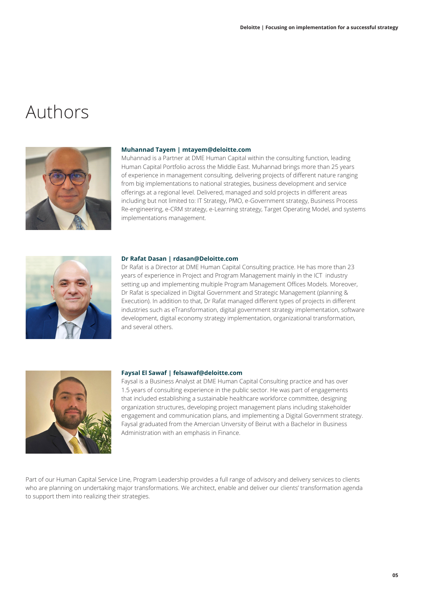### Authors



#### **Muhannad Tayem | mtayem@deloitte.com**

Muhannad is a Partner at DME Human Capital within the consulting function, leading Human Capital Portfolio across the Middle East. Muhannad brings more than 25 years of experience in management consulting, delivering projects of different nature ranging from big implementations to national strategies, business development and service offerings at a regional level. Delivered, managed and sold projects in different areas including but not limited to: IT Strategy, PMO, e-Government strategy, Business Process Re-engineering, e-CRM strategy, e-Learning strategy, Target Operating Model, and systems implementations management.



#### **Dr Rafat Dasan | rdasan@Deloitte.com**

Dr Rafat is a Director at DME Human Capital Consulting practice. He has more than 23 years of experience in Project and Program Management mainly in the ICT industry setting up and implementing multiple Program Management Offices Models. Moreover, Dr Rafat is specialized in Digital Government and Strategic Management (planning & Execution). In addition to that, Dr Rafat managed different types of projects in different industries such as eTransformation, digital government strategy implementation, software development, digital economy strategy implementation, organizational transformation, and several others.



#### **Faysal El Sawaf | felsawaf@deloitte.com**

Faysal is a Business Analyst at DME Human Capital Consulting practice and has over 1.5 years of consulting experience in the public sector. He was part of engagements that included establishing a sustainable healthcare workforce committee, designing organization structures, developing project management plans including stakeholder engagement and communication plans, and implementing a Digital Government strategy. Faysal graduated from the Amercian Unversity of Beirut with a Bachelor in Business Administration with an emphasis in Finance.

Part of our Human Capital Service Line, Program Leadership provides a full range of advisory and delivery services to clients who are planning on undertaking major transformations. We architect, enable and deliver our clients' transformation agenda to support them into realizing their strategies.